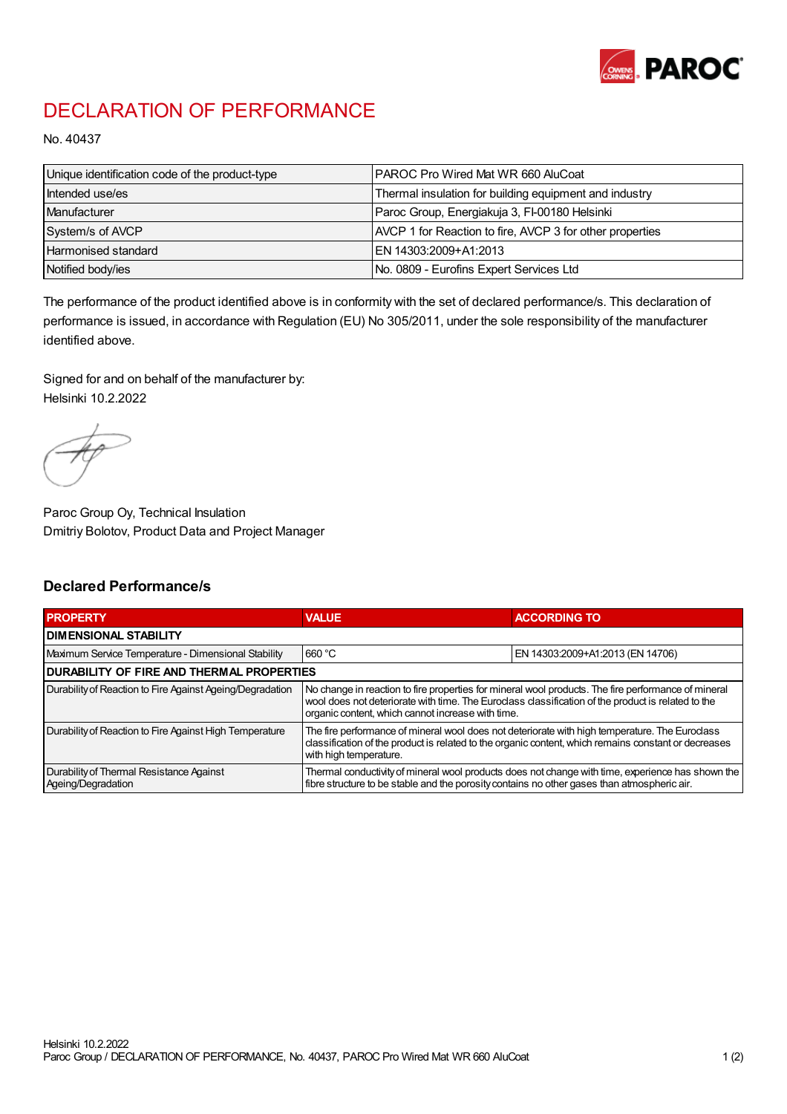

## DECLARATION OF PERFORMANCE

No. 40437

| Unique identification code of the product-type | IPAROC Pro Wired Mat WR 660 AluCoat                      |
|------------------------------------------------|----------------------------------------------------------|
| Intended use/es                                | Thermal insulation for building equipment and industry   |
| Manufacturer                                   | Paroc Group, Energiakuja 3, FI-00180 Helsinki            |
| System/s of AVCP                               | AVCP 1 for Reaction to fire, AVCP 3 for other properties |
| Harmonised standard                            | IEN 14303:2009+A1:2013                                   |
| Notified body/ies                              | No. 0809 - Eurofins Expert Services Ltd                  |

The performance of the product identified above is in conformity with the set of declared performance/s. This declaration of performance is issued, in accordance with Regulation (EU) No 305/2011, under the sole responsibility of the manufacturer identified above.

Signed for and on behalf of the manufacturer by: Helsinki 10.2.2022

Paroc Group Oy, Technical Insulation Dmitriy Bolotov, Product Data and Project Manager

## Declared Performance/s

| <b>PROPERTY</b>                                                | <b>VALUE</b>                                                                                                                                                                                                                                                   | <b>ACCORDING TO</b>              |  |
|----------------------------------------------------------------|----------------------------------------------------------------------------------------------------------------------------------------------------------------------------------------------------------------------------------------------------------------|----------------------------------|--|
| <b>DIMENSIONAL STABILITY</b>                                   |                                                                                                                                                                                                                                                                |                                  |  |
| Maximum Service Temperature - Dimensional Stability            | 660 °C                                                                                                                                                                                                                                                         | EN 14303:2009+A1:2013 (EN 14706) |  |
| <b>DURABILITY OF FIRE AND THERMAL PROPERTIES</b>               |                                                                                                                                                                                                                                                                |                                  |  |
| Durability of Reaction to Fire Against Ageing/Degradation      | No change in reaction to fire properties for mineral wool products. The fire performance of mineral<br>wool does not deteriorate with time. The Euroclass classification of the product is related to the<br>organic content, which cannot increase with time. |                                  |  |
| Durability of Reaction to Fire Against High Temperature        | The fire performance of mineral wool does not deteriorate with high temperature. The Euroclass<br>classification of the product is related to the organic content, which remains constant or decreases<br>with high temperature.                               |                                  |  |
| Durability of Thermal Resistance Against<br>Ageing/Degradation | Thermal conductivity of mineral wool products does not change with time, experience has shown the<br>fibre structure to be stable and the porosity contains no other gases than atmospheric air.                                                               |                                  |  |